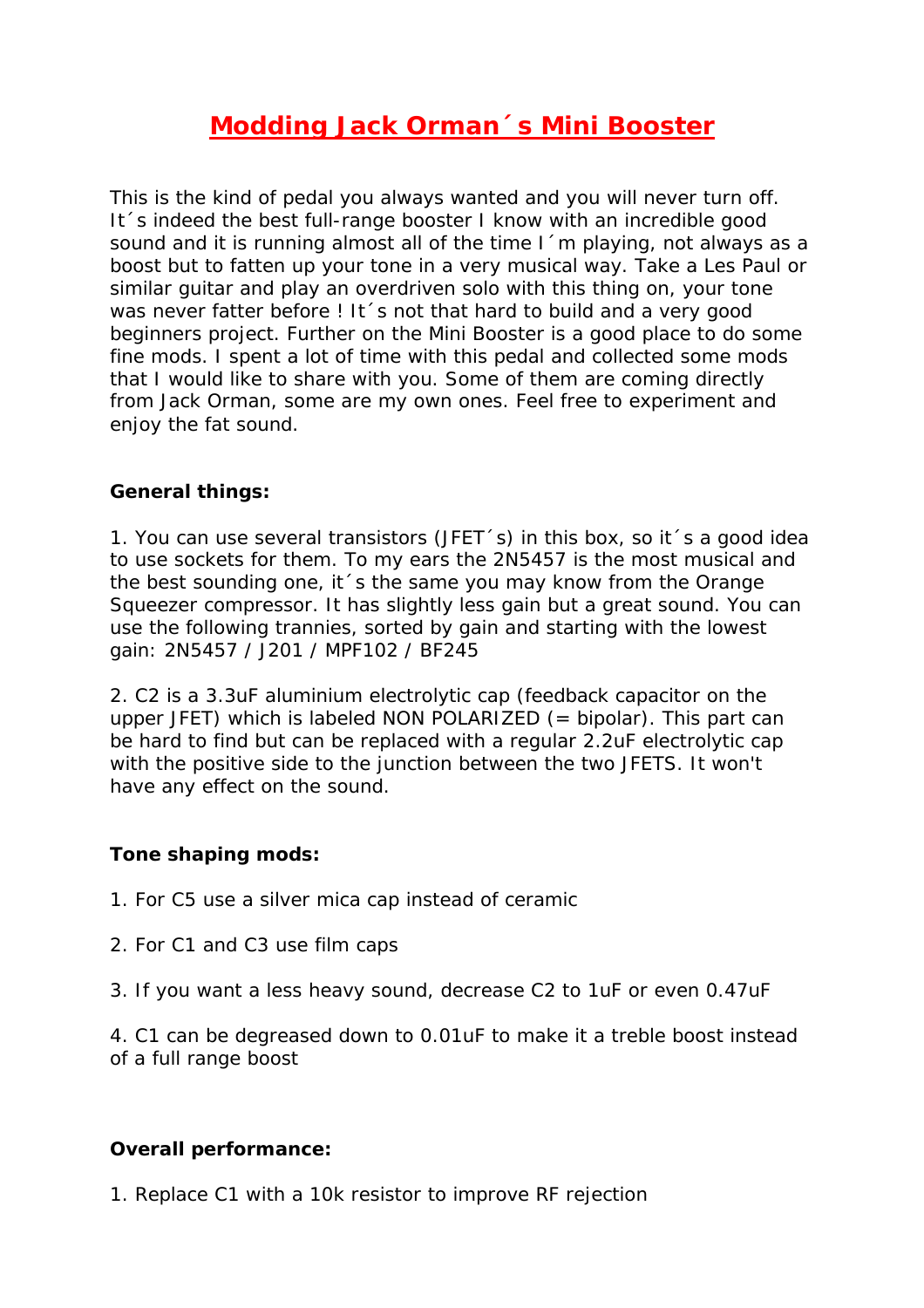# **Modding Jack Orman´s Mini Booster**

This is the kind of pedal you always wanted and you will never turn off. It´s indeed the best full-range booster I know with an incredible good sound and it is running almost all of the time I 'm playing, not always as a boost but to fatten up your tone in a very musical way. Take a Les Paul or similar guitar and play an overdriven solo with this thing on, your tone was never fatter before ! It 's not that hard to build and a very good beginners project. Further on the Mini Booster is a good place to do some fine mods. I spent a lot of time with this pedal and collected some mods that I would like to share with you. Some of them are coming directly from Jack Orman, some are my own ones. Feel free to experiment and enjoy the fat sound.

#### **General things:**

1. You can use several transistors (JFET´s) in this box, so it´s a good idea to use sockets for them. To my ears the 2N5457 is the most musical and the best sounding one, it´s the same you may know from the Orange Squeezer compressor. It has slightly less gain but a great sound. You can use the following trannies, sorted by gain and starting with the lowest gain: 2N5457 / J201 / MPF102 / BF245

2. C2 is a 3.3uF aluminium electrolytic cap (feedback capacitor on the upper JFET) which is labeled NON POLARIZED  $($  = bipolar). This part can be hard to find but can be replaced with a regular 2.2uF electrolytic cap with the positive side to the junction between the two JFETS. It won't have any effect on the sound.

#### **Tone shaping mods:**

- 1. For C5 use a silver mica cap instead of ceramic
- 2. For C1 and C3 use film caps
- 3. If you want a less heavy sound, decrease C2 to 1uF or even 0.47uF

4. C1 can be degreased down to 0.01uF to make it a treble boost instead of a full range boost

#### **Overall performance:**

1. Replace C1 with a 10k resistor to improve RF rejection